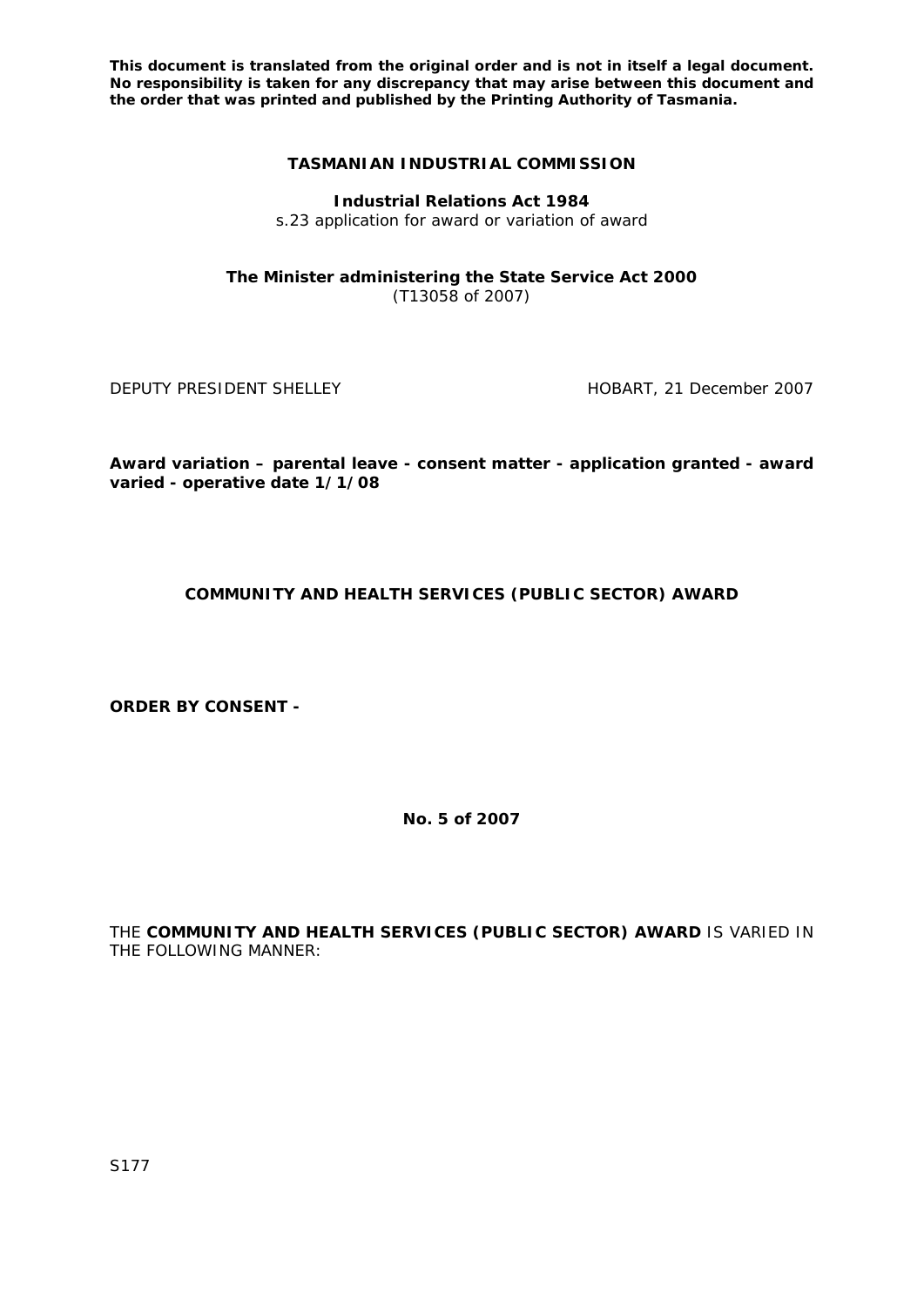# **TASMANIAN INDUSTRIAL COMMISSION**

**Industrial Relations Act 1984**

s.23 application for award or variation of award

**The Minister administering the State Service Act 2000** (T13058 of 2007)

DEPUTY PRESIDENT SHELLEY **EXECUTE A SHELL SHELL ASSESSED** HOBART, 21 December 2007

**Award variation – parental leave - consent matter - application granted - award varied - operative date 1/1/08** 

# **COMMUNITY AND HEALTH SERVICES (PUBLIC SECTOR) AWARD**

**ORDER BY CONSENT -** 

**No. 5 of 2007** 

THE **COMMUNITY AND HEALTH SERVICES (PUBLIC SECTOR) AWARD** IS VARIED IN THE FOLLOWING MANNER: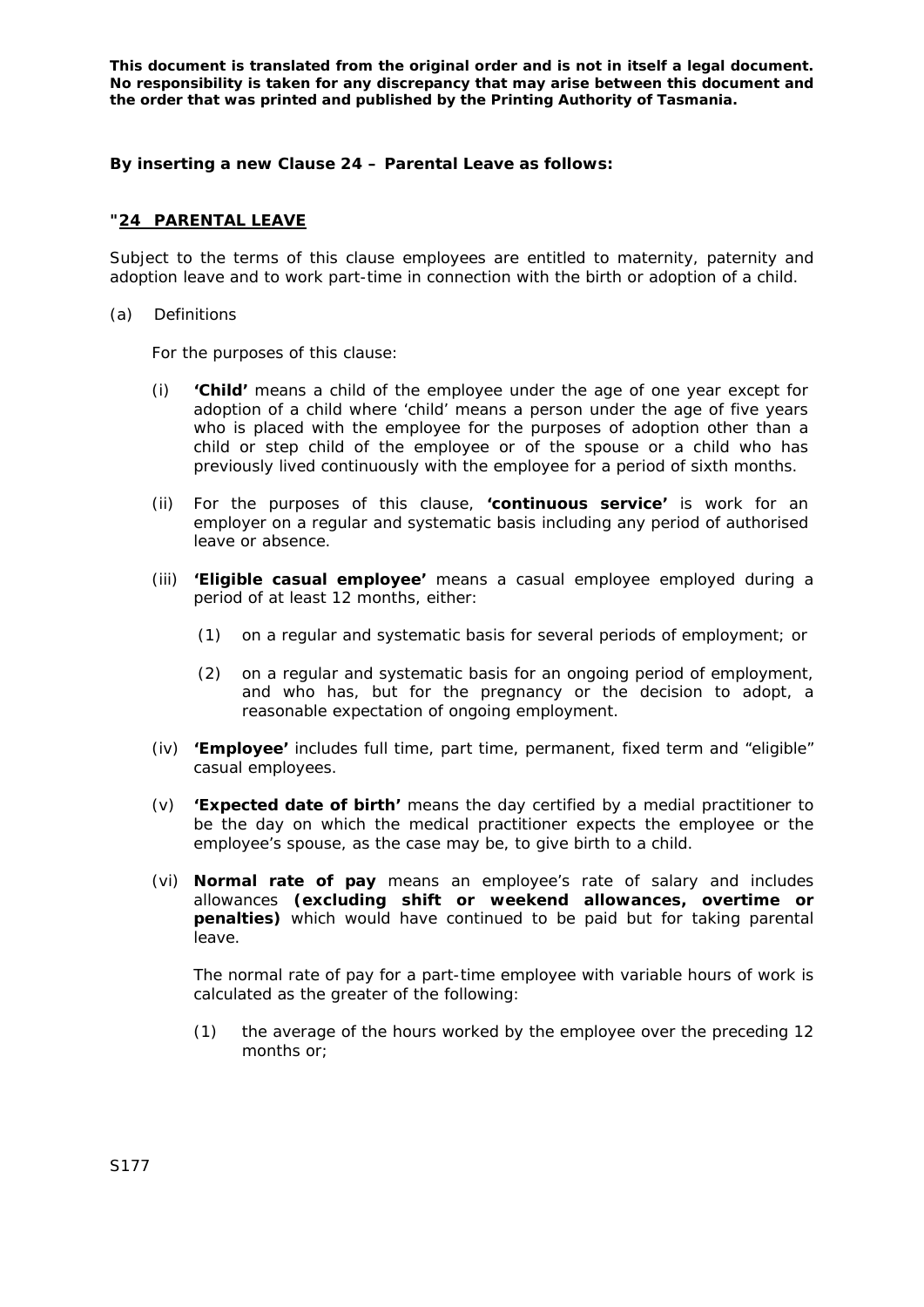## **By inserting a new Clause 24 – Parental Leave as follows:**

## **"24 PARENTAL LEAVE**

Subject to the terms of this clause employees are entitled to maternity, paternity and adoption leave and to work part-time in connection with the birth or adoption of a child.

#### (a) Definitions

For the purposes of this clause:

- (i) **'Child'** means a child of the employee under the age of one year except for adoption of a child where 'child' means a person under the age of five years who is placed with the employee for the purposes of adoption other than a child or step child of the employee or of the spouse or a child who has previously lived continuously with the employee for a period of sixth months.
- (ii) For the purposes of this clause, **'continuous service'** is work for an employer on a regular and systematic basis including any period of authorised leave or absence.
- (iii) **'Eligible casual employee'** means a casual employee employed during a period of at least 12 months, either:
	- (1) on a regular and systematic basis for several periods of employment; or
	- (2) on a regular and systematic basis for an ongoing period of employment, and who has, but for the pregnancy or the decision to adopt, a reasonable expectation of ongoing employment.
- (iv) **'Employee'** includes full time, part time, permanent, fixed term and "eligible" casual employees.
- (v) **'Expected date of birth'** means the day certified by a medial practitioner to be the day on which the medical practitioner expects the employee or the employee's spouse, as the case may be, to give birth to a child.
- (vi) **Normal rate of pay** means an employee's rate of salary and includes allowances **(excluding shift or weekend allowances, overtime or penalties)** which would have continued to be paid but for taking parental leave.

The normal rate of pay for a part-time employee with variable hours of work is calculated as the greater of the following:

(1) the average of the hours worked by the employee over the preceding 12 months or;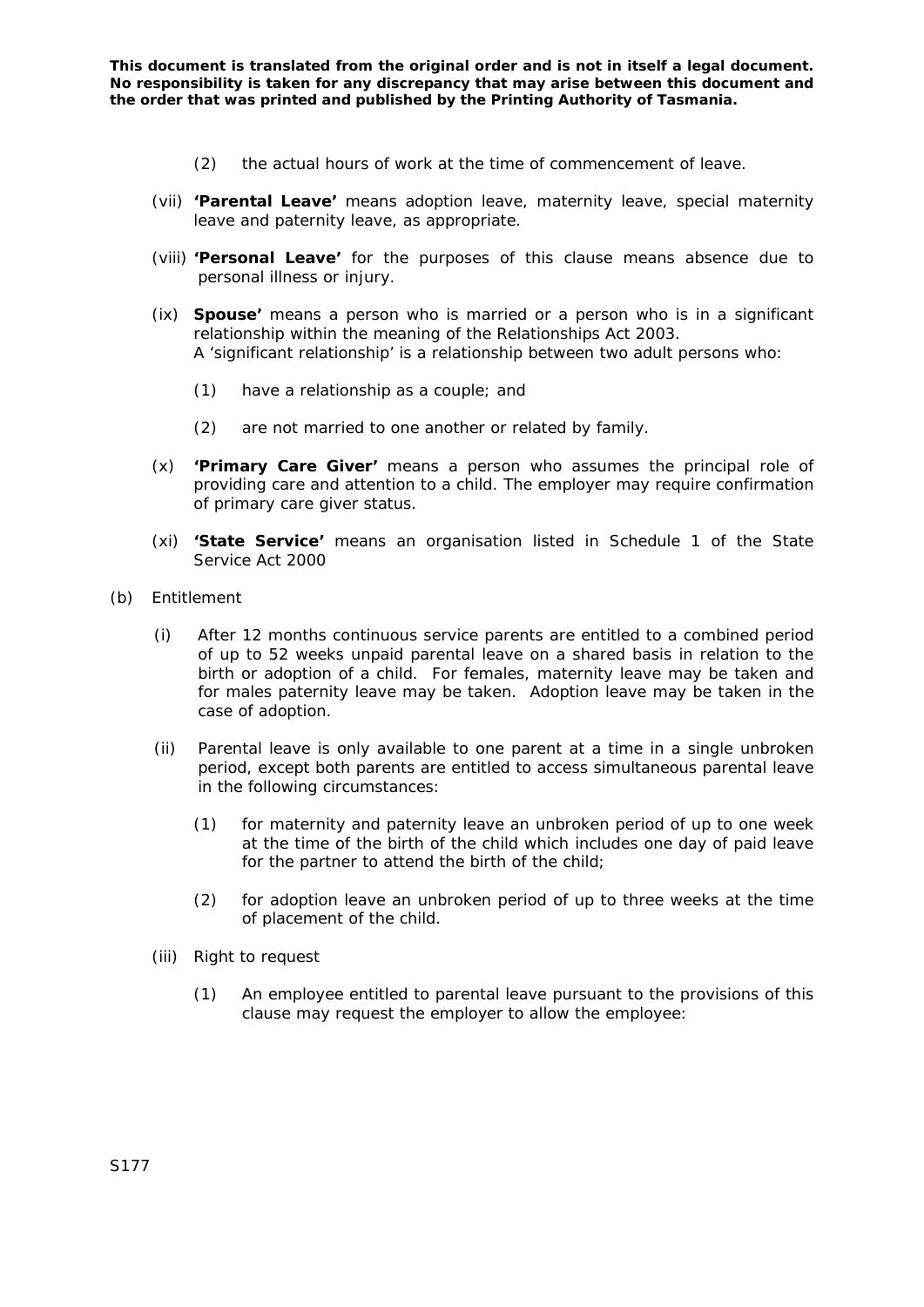- (2) the actual hours of work at the time of commencement of leave.
- (vii) **'Parental Leave'** means adoption leave, maternity leave, special maternity leave and paternity leave, as appropriate.
- (viii) **'Personal Leave'** for the purposes of this clause means absence due to personal illness or injury.
- (ix) **Spouse'** means a person who is married or a person who is in a significant relationship within the meaning of the *Relationships Act 2003.*  A 'significant relationship' is a relationship between two adult persons who:
	- (1) have a relationship as a couple; and
	- (2) are not married to one another or related by family.
- (x) **'Primary Care Giver'** means a person who assumes the principal role of providing care and attention to a child. The employer may require confirmation of primary care giver status.
- (xi) **'State Service'** means an organisation listed in Schedule 1 of the *State Service Act 2000*
- (b) Entitlement
	- (i) After 12 months continuous service parents are entitled to a combined period of up to 52 weeks unpaid parental leave on a shared basis in relation to the birth or adoption of a child. For females, maternity leave may be taken and for males paternity leave may be taken. Adoption leave may be taken in the case of adoption.
	- (ii) Parental leave is only available to one parent at a time in a single unbroken period, except both parents are entitled to access simultaneous parental leave in the following circumstances:
		- (1) for maternity and paternity leave an unbroken period of up to one week at the time of the birth of the child which includes one day of paid leave for the partner to attend the birth of the child;
		- (2) for adoption leave an unbroken period of up to three weeks at the time of placement of the child.
	- (iii) Right to request
		- (1) An employee entitled to parental leave pursuant to the provisions of this clause may request the employer to allow the employee: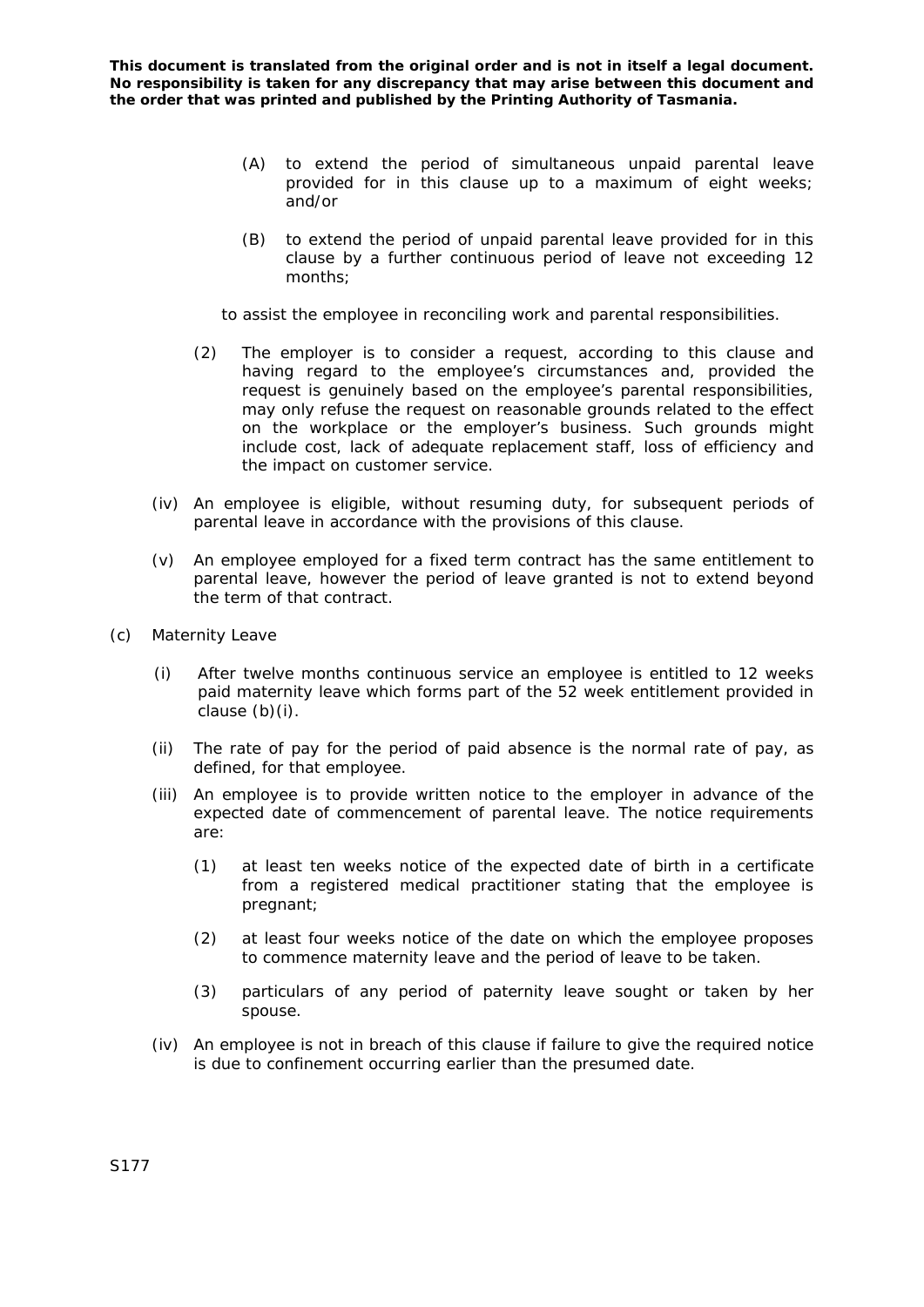- (A) to extend the period of simultaneous unpaid parental leave provided for in this clause up to a maximum of eight weeks; and/or
- (B) to extend the period of unpaid parental leave provided for in this clause by a further continuous period of leave not exceeding 12 months;

to assist the employee in reconciling work and parental responsibilities.

- (2) The employer is to consider a request, according to this clause and having regard to the employee's circumstances and, provided the request is genuinely based on the employee's parental responsibilities, may only refuse the request on reasonable grounds related to the effect on the workplace or the employer's business. Such grounds might include cost, lack of adequate replacement staff, loss of efficiency and the impact on customer service.
- (iv) An employee is eligible, without resuming duty, for subsequent periods of parental leave in accordance with the provisions of this clause.
- (v) An employee employed for a fixed term contract has the same entitlement to parental leave, however the period of leave granted is not to extend beyond the term of that contract.
- (c) Maternity Leave
	- (i) After twelve months continuous service an employee is entitled to 12 weeks paid maternity leave which forms part of the 52 week entitlement provided in clause (b)(i).
	- (ii) The rate of pay for the period of paid absence is the normal rate of pay, as defined, for that employee.
	- (iii) An employee is to provide written notice to the employer in advance of the expected date of commencement of parental leave. The notice requirements are:
		- (1) at least ten weeks notice of the expected date of birth in a certificate from a registered medical practitioner stating that the employee is pregnant;
		- (2) at least four weeks notice of the date on which the employee proposes to commence maternity leave and the period of leave to be taken.
		- (3) particulars of any period of paternity leave sought or taken by her spouse.
	- (iv) An employee is not in breach of this clause if failure to give the required notice is due to confinement occurring earlier than the presumed date.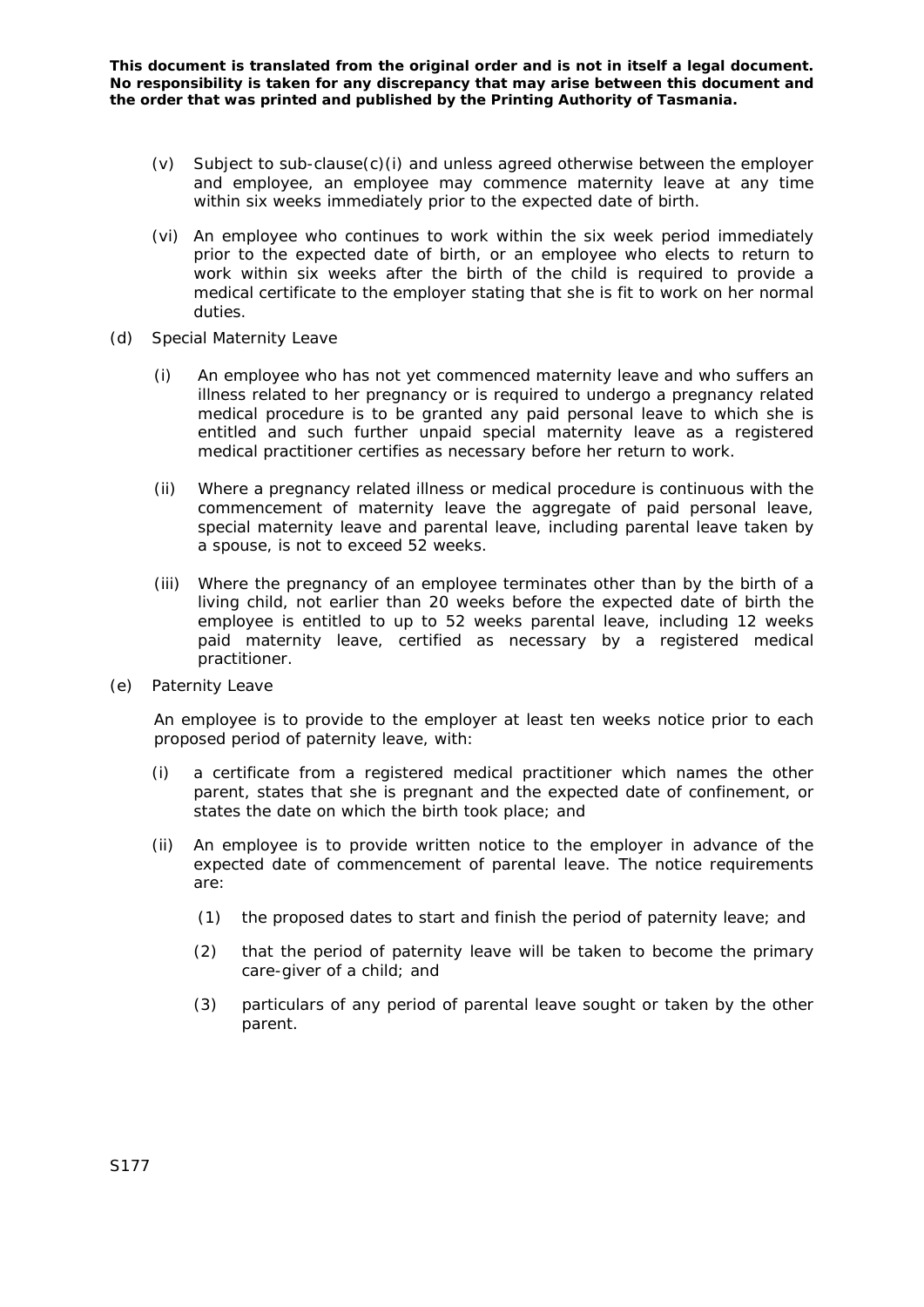- (v) Subject to sub-clause(c)(i) and unless agreed otherwise between the employer and employee, an employee may commence maternity leave at any time within six weeks immediately prior to the expected date of birth.
- (vi) An employee who continues to work within the six week period immediately prior to the expected date of birth, or an employee who elects to return to work within six weeks after the birth of the child is required to provide a medical certificate to the employer stating that she is fit to work on her normal duties.
- (d) Special Maternity Leave
	- (i) An employee who has not yet commenced maternity leave and who suffers an illness related to her pregnancy or is required to undergo a pregnancy related medical procedure is to be granted any paid personal leave to which she is entitled and such further unpaid special maternity leave as a registered medical practitioner certifies as necessary before her return to work.
	- (ii) Where a pregnancy related illness or medical procedure is continuous with the commencement of maternity leave the aggregate of paid personal leave, special maternity leave and parental leave, including parental leave taken by a spouse, is not to exceed 52 weeks.
	- (iii) Where the pregnancy of an employee terminates other than by the birth of a living child, not earlier than 20 weeks before the expected date of birth the employee is entitled to up to 52 weeks parental leave, including 12 weeks paid maternity leave, certified as necessary by a registered medical practitioner.
- (e) Paternity Leave

An employee is to provide to the employer at least ten weeks notice prior to each proposed period of paternity leave, with:

- (i) a certificate from a registered medical practitioner which names the other parent, states that she is pregnant and the expected date of confinement, or states the date on which the birth took place; and
- (ii) An employee is to provide written notice to the employer in advance of the expected date of commencement of parental leave. The notice requirements are:
	- (1) the proposed dates to start and finish the period of paternity leave; and
	- (2) that the period of paternity leave will be taken to become the primary care-giver of a child; and
	- (3) particulars of any period of parental leave sought or taken by the other parent.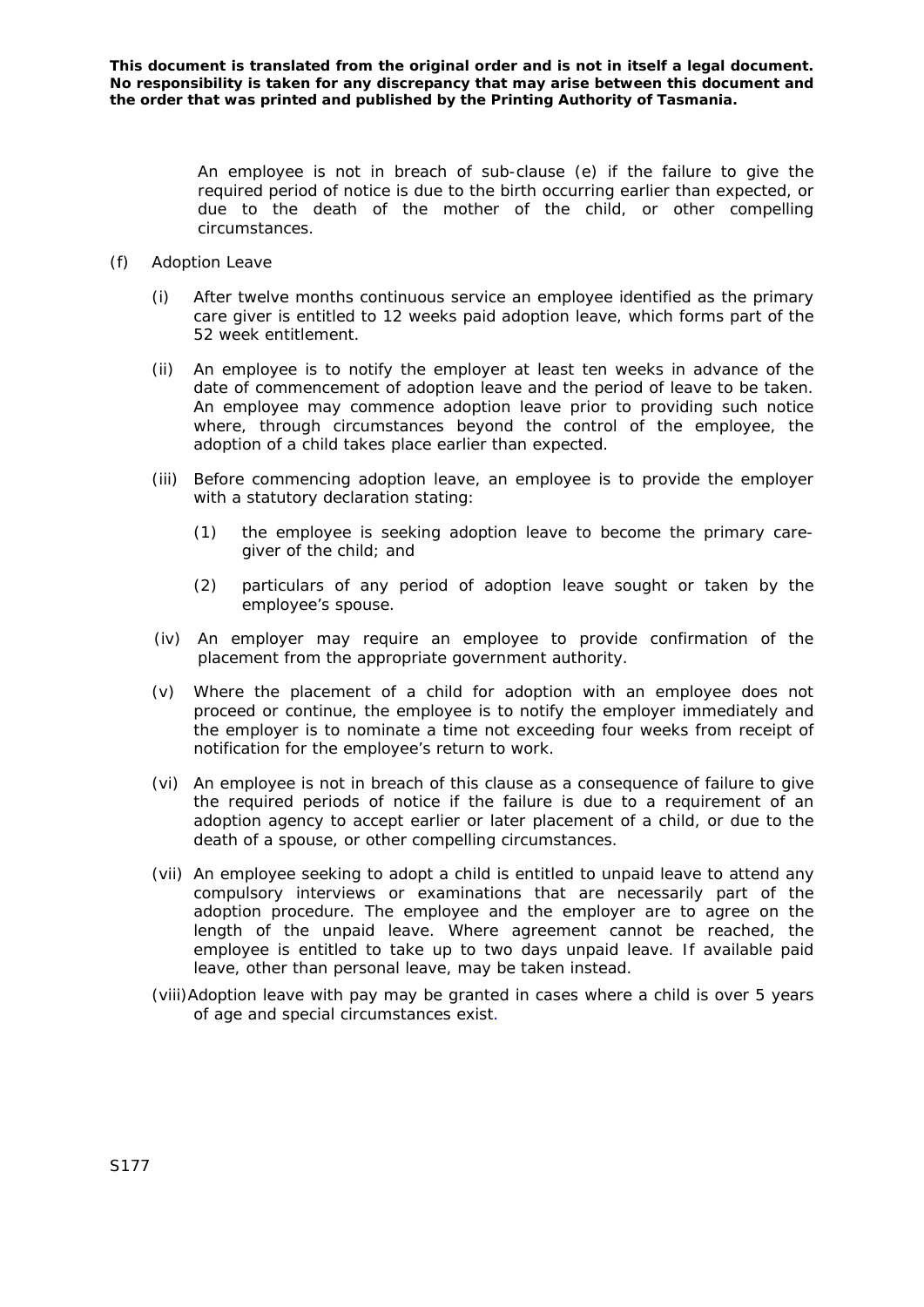An employee is not in breach of sub-clause (e) if the failure to give the required period of notice is due to the birth occurring earlier than expected, or due to the death of the mother of the child, or other compelling circumstances.

- (f) Adoption Leave
	- (i) After twelve months continuous service an employee identified as the primary care giver is entitled to 12 weeks paid adoption leave, which forms part of the 52 week entitlement.
	- (ii) An employee is to notify the employer at least ten weeks in advance of the date of commencement of adoption leave and the period of leave to be taken. An employee may commence adoption leave prior to providing such notice where, through circumstances beyond the control of the employee, the adoption of a child takes place earlier than expected.
	- (iii) Before commencing adoption leave, an employee is to provide the employer with a statutory declaration stating:
		- (1) the employee is seeking adoption leave to become the primary caregiver of the child; and
		- (2) particulars of any period of adoption leave sought or taken by the employee's spouse.
	- (iv) An employer may require an employee to provide confirmation of the placement from the appropriate government authority.
	- (v) Where the placement of a child for adoption with an employee does not proceed or continue, the employee is to notify the employer immediately and the employer is to nominate a time not exceeding four weeks from receipt of notification for the employee's return to work.
	- (vi) An employee is not in breach of this clause as a consequence of failure to give the required periods of notice if the failure is due to a requirement of an adoption agency to accept earlier or later placement of a child, or due to the death of a spouse, or other compelling circumstances.
	- (vii) An employee seeking to adopt a child is entitled to unpaid leave to attend any compulsory interviews or examinations that are necessarily part of the adoption procedure. The employee and the employer are to agree on the length of the unpaid leave. Where agreement cannot be reached, the employee is entitled to take up to two days unpaid leave. If available paid leave, other than personal leave, may be taken instead.
	- (viii)Adoption leave with pay may be granted in cases where a child is over 5 years of age and special circumstances exist.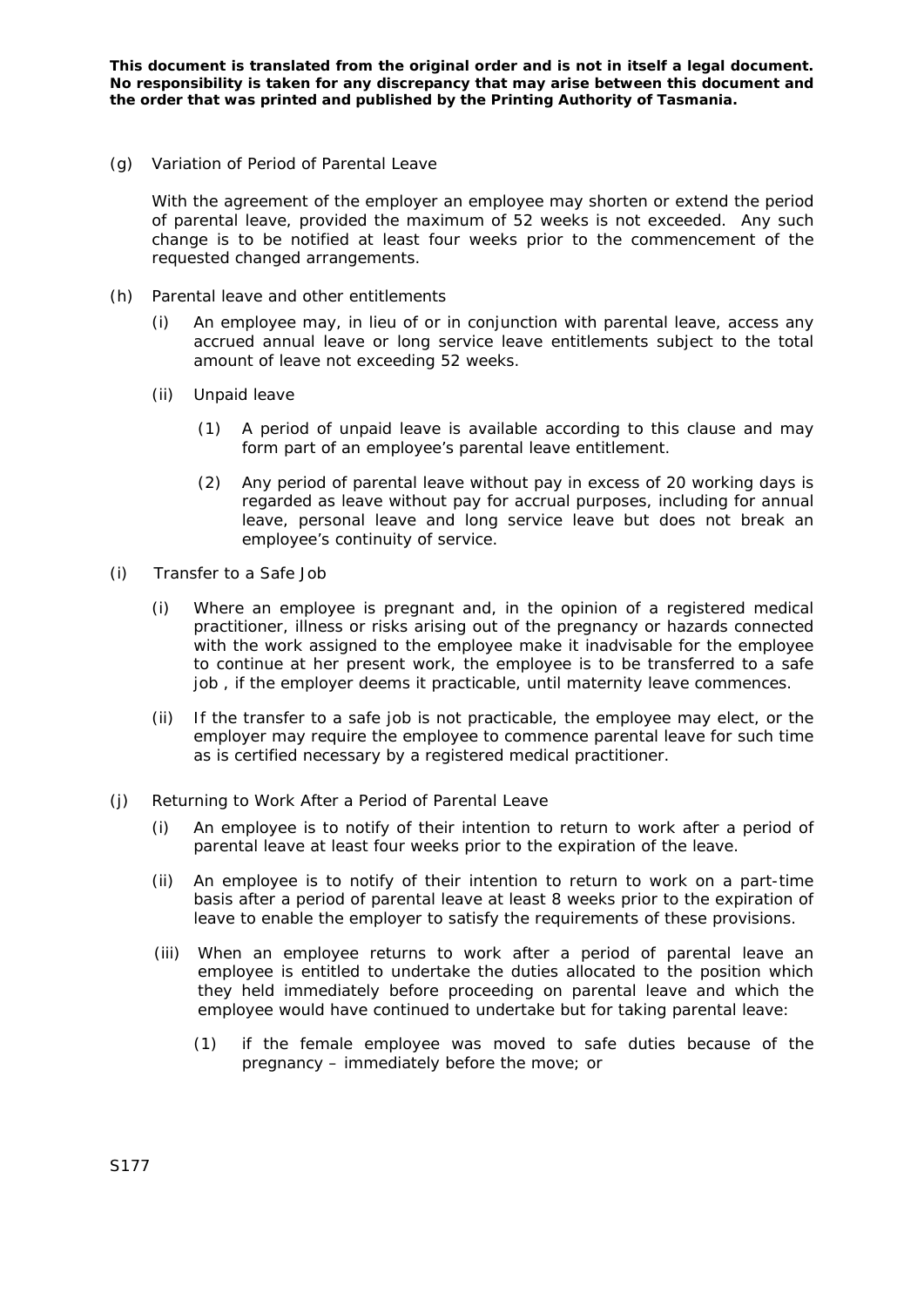(g) Variation of Period of Parental Leave

With the agreement of the employer an employee may shorten or extend the period of parental leave, provided the maximum of 52 weeks is not exceeded. Any such change is to be notified at least four weeks prior to the commencement of the requested changed arrangements.

- (h) Parental leave and other entitlements
	- (i) An employee may, in lieu of or in conjunction with parental leave, access any accrued annual leave or long service leave entitlements subject to the total amount of leave not exceeding 52 weeks.
	- (ii) Unpaid leave
		- (1) A period of unpaid leave is available according to this clause and may form part of an employee's parental leave entitlement.
		- (2) Any period of parental leave without pay in excess of 20 working days is regarded as leave without pay for accrual purposes, including for annual leave, personal leave and long service leave but does not break an employee's continuity of service.
- (i) Transfer to a Safe Job
	- (i) Where an employee is pregnant and, in the opinion of a registered medical practitioner, illness or risks arising out of the pregnancy or hazards connected with the work assigned to the employee make it inadvisable for the employee to continue at her present work, the employee is to be transferred to a safe job , if the employer deems it practicable, until maternity leave commences.
	- (ii) If the transfer to a safe job is not practicable, the employee may elect, or the employer may require the employee to commence parental leave for such time as is certified necessary by a registered medical practitioner.
- (j) Returning to Work After a Period of Parental Leave
	- (i) An employee is to notify of their intention to return to work after a period of parental leave at least four weeks prior to the expiration of the leave.
	- (ii) An employee is to notify of their intention to return to work on a part-time basis after a period of parental leave at least 8 weeks prior to the expiration of leave to enable the employer to satisfy the requirements of these provisions.
	- (iii) When an employee returns to work after a period of parental leave an employee is entitled to undertake the duties allocated to the position which they held immediately before proceeding on parental leave and which the employee would have continued to undertake but for taking parental leave:
		- (1) if the female employee was moved to safe duties because of the pregnancy – immediately before the move; or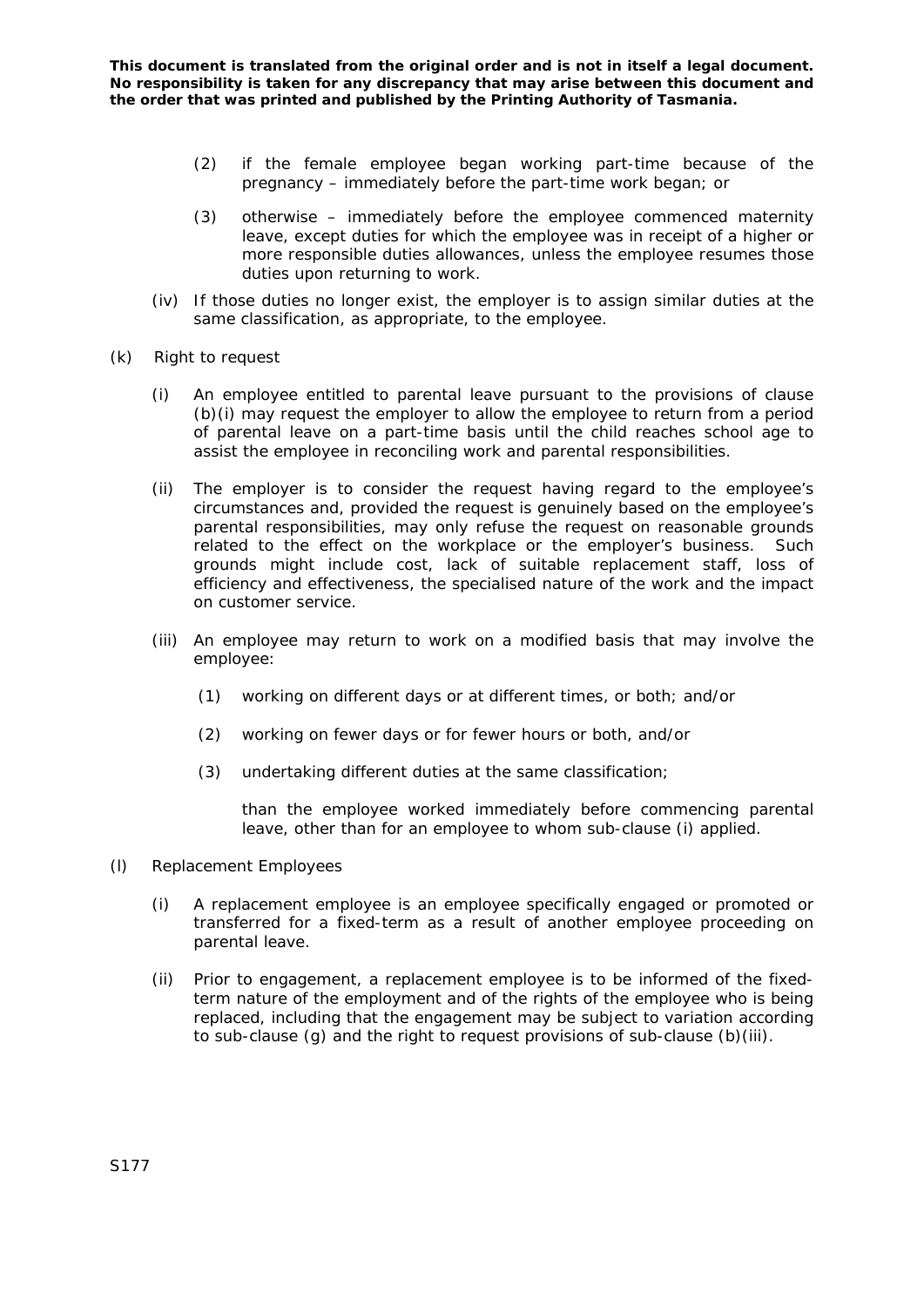- (2) if the female employee began working part-time because of the pregnancy – immediately before the part-time work began; or
- (3) otherwise immediately before the employee commenced maternity leave, except duties for which the employee was in receipt of a higher or more responsible duties allowances, unless the employee resumes those duties upon returning to work.
- (iv) If those duties no longer exist, the employer is to assign similar duties at the same classification, as appropriate, to the employee.
- (k) Right to request
	- (i) An employee entitled to parental leave pursuant to the provisions of clause (b)(i) may request the employer to allow the employee to return from a period of parental leave on a part-time basis until the child reaches school age to assist the employee in reconciling work and parental responsibilities.
	- (ii) The employer is to consider the request having regard to the employee's circumstances and, provided the request is genuinely based on the employee's parental responsibilities, may only refuse the request on reasonable grounds related to the effect on the workplace or the employer's business. Such grounds might include cost, lack of suitable replacement staff, loss of efficiency and effectiveness, the specialised nature of the work and the impact on customer service.
	- (iii) An employee may return to work on a modified basis that may involve the employee:
		- (1) working on different days or at different times, or both; and/or
		- (2) working on fewer days or for fewer hours or both, and/or
		- (3) undertaking different duties at the same classification;

 than the employee worked immediately before commencing parental leave, other than for an employee to whom sub-clause (i) applied.

- (l) Replacement Employees
	- (i) A replacement employee is an employee specifically engaged or promoted or transferred for a fixed-term as a result of another employee proceeding on parental leave.
	- (ii) Prior to engagement, a replacement employee is to be informed of the fixedterm nature of the employment and of the rights of the employee who is being replaced, including that the engagement may be subject to variation according to sub-clause (g) and the right to request provisions of sub-clause (b)(iii).